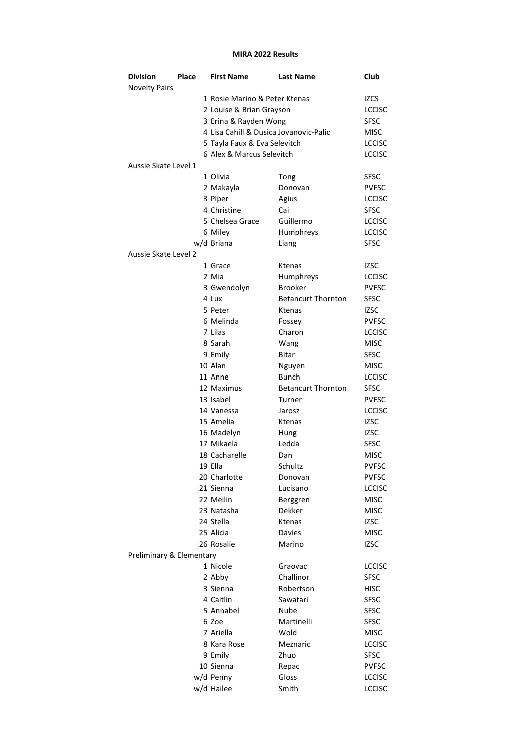## MIRA 2022 Results

| <b>Division</b>          | Place | <b>First Name</b>                      | <b>Last Name</b>          | Club          |  |
|--------------------------|-------|----------------------------------------|---------------------------|---------------|--|
| <b>Novelty Pairs</b>     |       |                                        |                           |               |  |
|                          |       | 1 Rosie Marino & Peter Ktenas          |                           | <b>IZCS</b>   |  |
|                          |       | 2 Louise & Brian Grayson               |                           | <b>LCCISC</b> |  |
|                          |       | 3 Erina & Rayden Wong                  |                           | <b>SFSC</b>   |  |
|                          |       | 4 Lisa Cahill & Dusica Jovanovic-Palic | MISC                      |               |  |
|                          |       | 5 Tayla Faux & Eva Selevitch           | <b>LCCISC</b>             |               |  |
|                          |       | 6 Alex & Marcus Selevitch              | <b>LCCISC</b>             |               |  |
| Aussie Skate Level 1     |       |                                        |                           |               |  |
|                          |       | 1 Olivia                               | Tong                      | SFSC          |  |
|                          |       | 2 Makayla                              | Donovan                   | <b>PVFSC</b>  |  |
|                          |       | 3 Piper                                | Agius                     | <b>LCCISC</b> |  |
|                          |       | 4 Christine                            | Cai                       | SFSC          |  |
|                          |       | 5 Chelsea Grace                        | Guillermo                 | <b>LCCISC</b> |  |
|                          |       | 6 Miley                                | Humphreys                 | <b>LCCISC</b> |  |
|                          |       | w/d Briana                             | Liang                     | <b>SFSC</b>   |  |
| Aussie Skate Level 2     |       |                                        |                           |               |  |
|                          |       | 1 Grace                                | Ktenas                    | <b>IZSC</b>   |  |
|                          |       | 2 Mia                                  | Humphreys                 | <b>LCCISC</b> |  |
|                          |       | 3 Gwendolyn                            | <b>Brooker</b>            | <b>PVFSC</b>  |  |
|                          |       | 4 Lux                                  | <b>Betancurt Thornton</b> | <b>SFSC</b>   |  |
|                          |       | 5 Peter                                | Ktenas                    | IZSC          |  |
|                          |       | 6 Melinda                              | Fossey                    | <b>PVFSC</b>  |  |
|                          |       | 7 Lilas                                | Charon                    | <b>LCCISC</b> |  |
|                          |       | 8 Sarah                                | Wang                      | <b>MISC</b>   |  |
|                          |       | 9 Emily                                | Bitar                     | SFSC          |  |
|                          |       | 10 Alan                                | Nguyen                    | MISC          |  |
|                          |       | 11 Anne                                | <b>Bunch</b>              | <b>LCCISC</b> |  |
|                          |       | 12 Maximus                             | <b>Betancurt Thornton</b> | <b>SFSC</b>   |  |
|                          |       | 13 Isabel                              | Turner                    | <b>PVFSC</b>  |  |
|                          |       | 14 Vanessa                             | Jarosz                    | <b>LCCISC</b> |  |
|                          |       | 15 Amelia                              | Ktenas                    | <b>IZSC</b>   |  |
|                          |       | 16 Madelyn                             | Hung                      | IZSC          |  |
|                          |       | 17 Mikaela                             | Ledda                     | <b>SFSC</b>   |  |
|                          |       | 18 Cacharelle                          | Dan                       | <b>MISC</b>   |  |
|                          |       | 19 Ella                                | Schultz                   | <b>PVFSC</b>  |  |
|                          |       | 20 Charlotte                           | Donovan                   | <b>PVFSC</b>  |  |
|                          |       | 21 Sienna                              | Lucisano                  | <b>LCCISC</b> |  |
|                          |       | 22 Meilin                              | Berggren                  | <b>MISC</b>   |  |
|                          |       | 23 Natasha                             | Dekker                    | <b>MISC</b>   |  |
|                          |       | 24 Stella                              | Ktenas                    | <b>IZSC</b>   |  |
|                          |       | 25 Alicia                              | <b>Davies</b>             | <b>MISC</b>   |  |
|                          |       | 26 Rosalie                             | Marino                    | <b>IZSC</b>   |  |
| Preliminary & Elementary |       |                                        |                           |               |  |
|                          |       | 1 Nicole                               | Graovac                   | <b>LCCISC</b> |  |
|                          |       | 2 Abby                                 | Challinor                 | <b>SFSC</b>   |  |
|                          |       | 3 Sienna                               | Robertson                 | <b>HISC</b>   |  |
|                          |       | 4 Caitlin                              | Sawatari                  | <b>SFSC</b>   |  |
|                          |       | 5 Annabel                              | Nube                      | <b>SFSC</b>   |  |
|                          |       | 6 Zoe                                  | Martinelli                | SFSC          |  |
|                          |       | 7 Ariella                              | Wold                      | <b>MISC</b>   |  |
|                          |       | 8 Kara Rose                            | Meznaric                  | <b>LCCISC</b> |  |
|                          |       | 9 Emily                                | Zhuo                      | SFSC          |  |
|                          |       | 10 Sienna                              | Repac                     | <b>PVFSC</b>  |  |
|                          |       | w/d Penny                              | Gloss                     | <b>LCCISC</b> |  |
|                          |       | w/d Hailee                             | Smith                     | <b>LCCISC</b> |  |
|                          |       |                                        |                           |               |  |